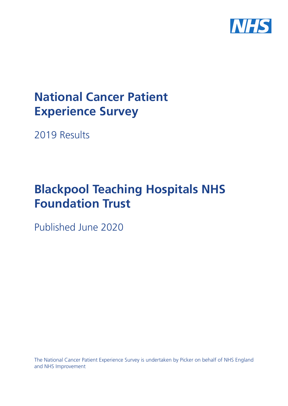

# **National Cancer Patient Experience Survey**

2019 Results

# **Blackpool Teaching Hospitals NHS Foundation Trust**

Published June 2020

The National Cancer Patient Experience Survey is undertaken by Picker on behalf of NHS England and NHS Improvement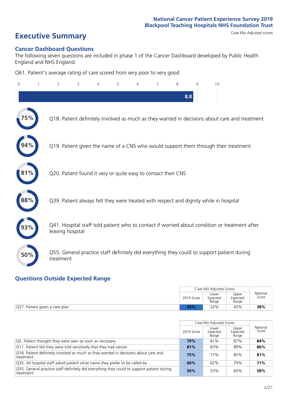# **Executive Summary** Case Mix Adjusted scores

#### **Cancer Dashboard Questions**

The following seven questions are included in phase 1 of the Cancer Dashboard developed by Public Health England and NHS England:

Q61. Patient's average rating of care scored from very poor to very good

| 0          | $\overline{2}$                                                | 3 | 5 | 6 | 7 | 8   | $\mathsf{Q}$ | 10                                                                                            |
|------------|---------------------------------------------------------------|---|---|---|---|-----|--------------|-----------------------------------------------------------------------------------------------|
|            |                                                               |   |   |   |   | 8.8 |              |                                                                                               |
|            |                                                               |   |   |   |   |     |              | Q18. Patient definitely involved as much as they wanted in decisions about care and treatment |
|            |                                                               |   |   |   |   |     |              | Q19. Patient given the name of a CNS who would support them through their treatment           |
| $81\%$     | Q20. Patient found it very or quite easy to contact their CNS |   |   |   |   |     |              |                                                                                               |
| $\bf 88\%$ |                                                               |   |   |   |   |     |              | Q39. Patient always felt they were treated with respect and dignity while in hospital         |
|            | leaving hospital                                              |   |   |   |   |     |              | Q41. Hospital staff told patient who to contact if worried about condition or treatment after |
| 50%        | treatment                                                     |   |   |   |   |     |              | Q55. General practice staff definitely did everything they could to support patient during    |

#### **Questions Outside Expected Range**

|                                | Case Mix Adiusted Scores |                            |                            |                   |
|--------------------------------|--------------------------|----------------------------|----------------------------|-------------------|
|                                | 2019 Score               | Lower<br>Expected<br>Range | Upper<br>Expected<br>Range | National<br>Score |
| Q57. Patient given a care plan | 13%                      | 38%                        |                            |                   |

|                                                                                                         |            | Case Mix Adjusted Scores   |                            |                   |
|---------------------------------------------------------------------------------------------------------|------------|----------------------------|----------------------------|-------------------|
|                                                                                                         | 2019 Score | Lower<br>Expected<br>Range | Upper<br>Expected<br>Range | National<br>Score |
| Q2. Patient thought they were seen as soon as necessary                                                 | 79%        | 81%                        | 87%                        | 84%               |
| Q11. Patient felt they were told sensitively that they had cancer                                       | 81%        | 83%                        | 89%                        | 86%               |
| Q18. Patient definitely involved as much as they wanted in decisions about care and<br>treatment        | 75%        | 77%                        | 85%                        | 81%               |
| Q35. All hospital staff asked patient what name they prefer to be called by                             | 60%        | 62%                        | 79%                        | 71%               |
| Q55. General practice staff definitely did everything they could to support patient during<br>treatment | 50%        | 53%                        | 64%                        | 58%               |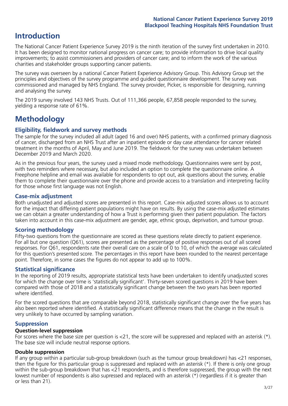## **Introduction**

The National Cancer Patient Experience Survey 2019 is the ninth iteration of the survey first undertaken in 2010. It has been designed to monitor national progress on cancer care; to provide information to drive local quality improvements; to assist commissioners and providers of cancer care; and to inform the work of the various charities and stakeholder groups supporting cancer patients.

The survey was overseen by a national Cancer Patient Experience Advisory Group. This Advisory Group set the principles and objectives of the survey programme and guided questionnaire development. The survey was commissioned and managed by NHS England. The survey provider, Picker, is responsible for designing, running and analysing the survey.

The 2019 survey involved 143 NHS Trusts. Out of 111,366 people, 67,858 people responded to the survey, yielding a response rate of 61%.

# **Methodology**

#### **Eligibility, eldwork and survey methods**

The sample for the survey included all adult (aged 16 and over) NHS patients, with a confirmed primary diagnosis of cancer, discharged from an NHS Trust after an inpatient episode or day case attendance for cancer related treatment in the months of April, May and June 2019. The fieldwork for the survey was undertaken between December 2019 and March 2020.

As in the previous four years, the survey used a mixed mode methodology. Questionnaires were sent by post, with two reminders where necessary, but also included an option to complete the questionnaire online. A Freephone helpline and email was available for respondents to opt out, ask questions about the survey, enable them to complete their questionnaire over the phone and provide access to a translation and interpreting facility for those whose first language was not English.

#### **Case-mix adjustment**

Both unadjusted and adjusted scores are presented in this report. Case-mix adjusted scores allows us to account for the impact that differing patient populations might have on results. By using the case-mix adjusted estimates we can obtain a greater understanding of how a Trust is performing given their patient population. The factors taken into account in this case-mix adjustment are gender, age, ethnic group, deprivation, and tumour group.

#### **Scoring methodology**

Fifty-two questions from the questionnaire are scored as these questions relate directly to patient experience. For all but one question (Q61), scores are presented as the percentage of positive responses out of all scored responses. For Q61, respondents rate their overall care on a scale of 0 to 10, of which the average was calculated for this question's presented score. The percentages in this report have been rounded to the nearest percentage point. Therefore, in some cases the figures do not appear to add up to 100%.

#### **Statistical significance**

In the reporting of 2019 results, appropriate statistical tests have been undertaken to identify unadjusted scores for which the change over time is 'statistically significant'. Thirty-seven scored questions in 2019 have been compared with those of 2018 and a statistically significant change between the two years has been reported where identified.

For the scored questions that are comparable beyond 2018, statistically significant change over the five years has also been reported where identified. A statistically significant difference means that the change in the result is very unlikely to have occurred by sampling variation.

#### **Suppression**

#### **Question-level suppression**

For scores where the base size per question is  $<$ 21, the score will be suppressed and replaced with an asterisk (\*). The base size will include neutral response options.

#### **Double suppression**

If any group within a particular sub-group breakdown (such as the tumour group breakdown) has <21 responses, then the figure for this particular group is suppressed and replaced with an asterisk (\*). If there is only one group within the sub-group breakdown that has <21 respondents, and is therefore suppressed, the group with the next lowest number of respondents is also supressed and replaced with an asterisk (\*) (regardless if it is greater than or less than 21).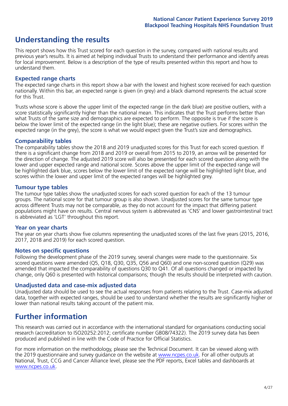## **Understanding the results**

This report shows how this Trust scored for each question in the survey, compared with national results and previous year's results. It is aimed at helping individual Trusts to understand their performance and identify areas for local improvement. Below is a description of the type of results presented within this report and how to understand them.

#### **Expected range charts**

The expected range charts in this report show a bar with the lowest and highest score received for each question nationally. Within this bar, an expected range is given (in grey) and a black diamond represents the actual score for this Trust.

Trusts whose score is above the upper limit of the expected range (in the dark blue) are positive outliers, with a score statistically significantly higher than the national mean. This indicates that the Trust performs better than what Trusts of the same size and demographics are expected to perform. The opposite is true if the score is below the lower limit of the expected range (in the light blue); these are negative outliers. For scores within the expected range (in the grey), the score is what we would expect given the Trust's size and demographics.

#### **Comparability tables**

The comparability tables show the 2018 and 2019 unadjusted scores for this Trust for each scored question. If there is a significant change from 2018 and 2019 or overall from 2015 to 2019, an arrow will be presented for the direction of change. The adjusted 2019 score will also be presented for each scored question along with the lower and upper expected range and national score. Scores above the upper limit of the expected range will be highlighted dark blue, scores below the lower limit of the expected range will be highlighted light blue, and scores within the lower and upper limit of the expected ranges will be highlighted grey.

#### **Tumour type tables**

The tumour type tables show the unadjusted scores for each scored question for each of the 13 tumour groups. The national score for that tumour group is also shown. Unadjusted scores for the same tumour type across different Trusts may not be comparable, as they do not account for the impact that differing patient populations might have on results. Central nervous system is abbreviated as 'CNS' and lower gastrointestinal tract is abbreviated as 'LGT' throughout this report.

#### **Year on year charts**

The year on year charts show five columns representing the unadjusted scores of the last five years (2015, 2016, 2017, 2018 and 2019) for each scored question.

#### **Notes on specific questions**

Following the development phase of the 2019 survey, several changes were made to the questionnaire. Six scored questions were amended (Q5, Q18, Q30, Q35, Q56 and Q60) and one non-scored question (Q29) was amended that impacted the comparability of questions Q30 to Q41. Of all questions changed or impacted by change, only Q60 is presented with historical comparisons; though the results should be interpreted with caution.

#### **Unadjusted data and case-mix adjusted data**

Unadjusted data should be used to see the actual responses from patients relating to the Trust. Case-mix adjusted data, together with expected ranges, should be used to understand whether the results are significantly higher or lower than national results taking account of the patient mix.

### **Further information**

This research was carried out in accordance with the international standard for organisations conducting social research (accreditation to ISO20252:2012; certificate number GB08/74322). The 2019 survey data has been produced and published in line with the Code of Practice for Official Statistics.

For more information on the methodology, please see the Technical Document. It can be viewed along with the 2019 questionnaire and survey quidance on the website at [www.ncpes.co.uk](https://www.ncpes.co.uk/supporting-documents). For all other outputs at National, Trust, CCG and Cancer Alliance level, please see the PDF reports, Excel tables and dashboards at [www.ncpes.co.uk.](https://www.ncpes.co.uk/current-results)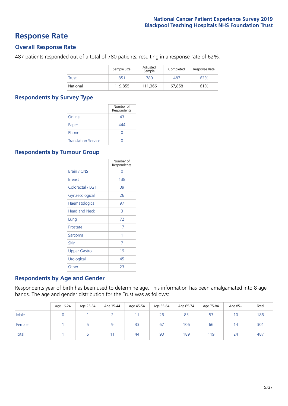### **Response Rate**

#### **Overall Response Rate**

487 patients responded out of a total of 780 patients, resulting in a response rate of 62%.

|              | Sample Size | Adjusted<br>Sample | Completed | Response Rate |
|--------------|-------------|--------------------|-----------|---------------|
| <b>Trust</b> | 851         | 780                | 487       | 62%           |
| National     | 119,855     | 111,366            | 67,858    | 61%           |

#### **Respondents by Survey Type**

|                            | Number of<br>Respondents |
|----------------------------|--------------------------|
| Online                     | 43                       |
| Paper                      | 444                      |
| Phone                      | $\left( \right)$         |
| <b>Translation Service</b> |                          |

#### **Respondents by Tumour Group**

|                      | Number of<br>Respondents |
|----------------------|--------------------------|
| Brain / CNS          | ∩                        |
| <b>Breast</b>        | 138                      |
| Colorectal / LGT     | 39                       |
| Gynaecological       | 26                       |
| Haematological       | 97                       |
| <b>Head and Neck</b> | 3                        |
| Lung                 | 72                       |
| Prostate             | 17                       |
| Sarcoma              | 1                        |
| Skin                 | 7                        |
| <b>Upper Gastro</b>  | 19                       |
| Urological           | 45                       |
| Other                | 23                       |

#### **Respondents by Age and Gender**

Respondents year of birth has been used to determine age. This information has been amalgamated into 8 age bands. The age and gender distribution for the Trust was as follows:

|        | Age 16-24 | Age 25-34 | Age 35-44 | Age 45-54 | Age 55-64 | Age 65-74 | Age 75-84 | Age 85+         | Total |
|--------|-----------|-----------|-----------|-----------|-----------|-----------|-----------|-----------------|-------|
| Male   |           |           |           |           | 26        | 83        | 53        | 10 <sup>°</sup> | 186   |
| Female |           |           |           | 33        | 67        | 106       | 66        | $\overline{4}$  | 301   |
| Total  |           |           |           | 44        | 93        | 189       | 119       | 24              | 487   |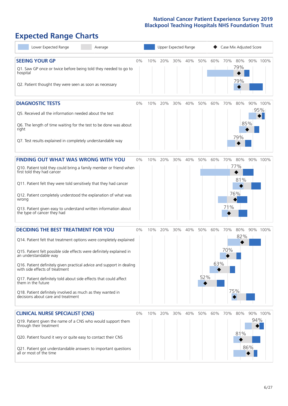# **Expected Range Charts**

| Lower Expected Range<br>Average                                                                                                                                                                                                                                                                                                                                                                                                                                                                                             |       |     | Upper Expected Range |     |     |            |            |            |                          | Case Mix Adjusted Score |          |
|-----------------------------------------------------------------------------------------------------------------------------------------------------------------------------------------------------------------------------------------------------------------------------------------------------------------------------------------------------------------------------------------------------------------------------------------------------------------------------------------------------------------------------|-------|-----|----------------------|-----|-----|------------|------------|------------|--------------------------|-------------------------|----------|
| <b>SEEING YOUR GP</b><br>Q1. Saw GP once or twice before being told they needed to go to<br>hospital<br>Q2. Patient thought they were seen as soon as necessary                                                                                                                                                                                                                                                                                                                                                             | 0%    | 10% | 20%                  | 30% | 40% | 50%        | 60%        | 70%        | 80%<br>79%<br>79%        |                         | 90% 100% |
| <b>DIAGNOSTIC TESTS</b><br>Q5. Received all the information needed about the test<br>Q6. The length of time waiting for the test to be done was about<br>right<br>Q7. Test results explained in completely understandable way                                                                                                                                                                                                                                                                                               | 0%    | 10% | 20%                  | 30% | 40% | 50%        | 60%        | 70%        | 80%<br>79%               | 95%<br>85%              | 90% 100% |
| <b>FINDING OUT WHAT WAS WRONG WITH YOU</b><br>Q10. Patient told they could bring a family member or friend when<br>first told they had cancer<br>Q11. Patient felt they were told sensitively that they had cancer<br>Q12. Patient completely understood the explanation of what was<br>wrong<br>Q13. Patient given easy to understand written information about<br>the type of cancer they had                                                                                                                             | $0\%$ | 10% | 20%                  | 30% | 40% | 50%        | 60%        | 70%<br>71% | 80%<br>77%<br>81%<br>76% | 90% 100%                |          |
| <b>DECIDING THE BEST TREATMENT FOR YOU</b><br>Q14. Patient felt that treatment options were completely explained<br>Q15. Patient felt possible side effects were definitely explained in<br>an understandable wav<br>Q16. Patient definitely given practical advice and support in dealing<br>with side effects of treatment<br>Q17. Patient definitely told about side effects that could affect<br>them in the future<br>Q18. Patient definitely involved as much as they wanted in<br>decisions about care and treatment | 0%    | 10% | 20%                  | 30% | 40% | 50%<br>52% | 60%<br>63% | 70%<br>70% | 80%<br>82%<br>75%        |                         | 90% 100% |
| <b>CLINICAL NURSE SPECIALIST (CNS)</b><br>Q19. Patient given the name of a CNS who would support them<br>through their treatment<br>Q20. Patient found it very or quite easy to contact their CNS<br>Q21. Patient got understandable answers to important questions<br>all or most of the time                                                                                                                                                                                                                              | 0%    | 10% | 20%                  | 30% | 40% | 50%        | 60%        | 70%        | 80%<br>81%               | 94%<br>86%              | 90% 100% |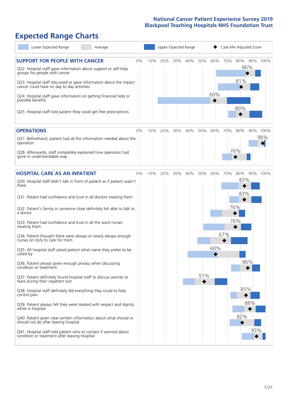# **Expected Range Charts**

| Lower Expected Range<br>Average                                                                                   |     | Upper Expected Range |     |     |     |     | Case Mix Adjusted Score |            |          |  |  |
|-------------------------------------------------------------------------------------------------------------------|-----|----------------------|-----|-----|-----|-----|-------------------------|------------|----------|--|--|
| <b>SUPPORT FOR PEOPLE WITH CANCER</b><br>0%                                                                       | 10% | 20%                  | 30% | 40% | 50% | 60% | 70%                     | 80%<br>86% | 90% 100% |  |  |
| Q22. Hospital staff gave information about support or self-help<br>groups for people with cancer                  |     |                      |     |     |     |     |                         | 81%        |          |  |  |
| Q23. Hospital staff discussed or gave information about the impact<br>cancer could have on day to day activities  |     |                      |     |     |     |     |                         |            |          |  |  |
| Q24. Hospital staff gave information on getting financial help or<br>possible benefits                            |     |                      |     |     |     | 60% |                         |            |          |  |  |
| Q25. Hospital staff told patient they could get free prescriptions                                                |     |                      |     |     |     |     |                         | 80%        |          |  |  |
| <b>OPERATIONS</b><br>$0\%$                                                                                        | 10% | 20%                  | 30% | 40% | 50% | 60% | 70%                     | 80%        | 90% 100% |  |  |
| Q27. Beforehand, patient had all the information needed about the<br>operation                                    |     |                      |     |     |     |     |                         |            | 98%      |  |  |
| Q28. Afterwards, staff completely explained how operation had<br>gone in understandable way                       |     |                      |     |     |     |     |                         | 76%        |          |  |  |
| <b>HOSPITAL CARE AS AN INPATIENT</b><br>0%                                                                        | 10% | 20%                  | 30% | 40% | 50% | 60% | 70%                     | 80%        | 90% 100% |  |  |
| Q30. Hospital staff didn't talk in front of patient as if patient wasn't<br>there                                 |     |                      |     |     |     |     |                         | 83%        |          |  |  |
| Q31. Patient had confidence and trust in all doctors treating them                                                |     |                      |     |     |     |     |                         | 83%        |          |  |  |
| Q32. Patient's family or someone close definitely felt able to talk to<br>a doctor                                |     |                      |     |     |     |     |                         | 76%        |          |  |  |
| Q33. Patient had confidence and trust in all the ward nurses<br>treating them                                     |     |                      |     |     |     |     |                         | 76%        |          |  |  |
| Q34. Patient thought there were always or nearly always enough<br>nurses on duty to care for them                 |     |                      |     |     |     |     | 67%                     |            |          |  |  |
| Q35. All hospital staff asked patient what name they prefer to be<br>called by                                    |     |                      |     |     |     | 60% |                         |            |          |  |  |
| Q36. Patient always given enough privacy when discussing<br>condition or treatment                                |     |                      |     |     |     |     |                         | 86%        |          |  |  |
| Q37. Patient definitely found hospital staff to discuss worries or<br>fears during their inpatient visit          |     |                      |     |     | 51% |     |                         |            |          |  |  |
| Q38. Hospital staff definitely did everything they could to help<br>control pain                                  |     |                      |     |     |     |     |                         | 85%        |          |  |  |
| Q39. Patient always felt they were treated with respect and dignity<br>while in hospital                          |     |                      |     |     |     |     |                         | 88%        |          |  |  |
| Q40. Patient given clear written information about what should or<br>should not do after leaving hospital         |     |                      |     |     |     |     |                         | 82%        |          |  |  |
| Q41. Hospital staff told patient who to contact if worried about<br>condition or treatment after leaving hospital |     |                      |     |     |     |     |                         | 93%        |          |  |  |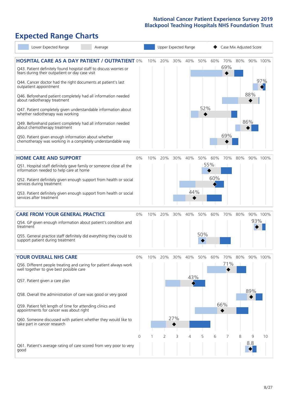# **Expected Range Charts**

|                              | Lower Expected Range                                                                                  | Average                                                                                                                       |       |     |     |     | Upper Expected Range |     |     | Case Mix Adjusted Score |     |          |          |
|------------------------------|-------------------------------------------------------------------------------------------------------|-------------------------------------------------------------------------------------------------------------------------------|-------|-----|-----|-----|----------------------|-----|-----|-------------------------|-----|----------|----------|
|                              | fears during their outpatient or day case visit                                                       | <b>HOSPITAL CARE AS A DAY PATIENT / OUTPATIENT 0%</b><br>Q43. Patient definitely found hospital staff to discuss worries or   |       | 10% | 20% | 30% | 40%                  | 50% | 60% | 70%<br>69%              | 80% |          | 90% 100% |
| outpatient appointment       |                                                                                                       | Q44. Cancer doctor had the right documents at patient's last<br>Q46. Beforehand patient completely had all information needed |       |     |     |     |                      |     |     |                         |     | 88%      | 97%      |
| about radiotherapy treatment |                                                                                                       | Q47. Patient completely given understandable information about                                                                |       |     |     |     |                      | 52% |     |                         |     |          |          |
|                              | whether radiotherapy was working<br>about chemotherapy treatment                                      | Q49. Beforehand patient completely had all information needed                                                                 |       |     |     |     |                      |     |     |                         |     | 86%      |          |
|                              | Q50. Patient given enough information about whether                                                   | chemotherapy was working in a completely understandable way                                                                   |       |     |     |     |                      |     |     | 69%                     |     |          |          |
|                              | <b>HOME CARE AND SUPPORT</b>                                                                          |                                                                                                                               | 0%    | 10% | 20% | 30% | 40%                  | 50% | 60% | 70%                     | 80% |          | 90% 100% |
|                              | information needed to help care at home                                                               | Q51. Hospital staff definitely gave family or someone close all the                                                           |       |     |     |     |                      |     | 55% |                         |     |          |          |
| services during treatment    |                                                                                                       | Q52. Patient definitely given enough support from health or social                                                            |       |     |     |     |                      |     | 60% |                         |     |          |          |
| services after treatment     |                                                                                                       | Q53. Patient definitely given enough support from health or social                                                            |       |     |     |     | 44%                  |     |     |                         |     |          |          |
|                              | <b>CARE FROM YOUR GENERAL PRACTICE</b>                                                                |                                                                                                                               | 0%    | 10% | 20% | 30% | 40%                  | 50% | 60% | 70%                     | 80% |          | 90% 100% |
| treatment                    |                                                                                                       | Q54. GP given enough information about patient's condition and                                                                |       |     |     |     |                      |     |     |                         |     | 93%      |          |
|                              | support patient during treatment                                                                      | Q55. General practice staff definitely did everything they could to                                                           |       |     |     |     |                      | 50% |     |                         |     |          |          |
|                              | <b>YOUR OVERALL NHS CARE</b>                                                                          |                                                                                                                               | $0\%$ | 10% | 20% | 30% | 40%                  | 50% | 60% | 70%                     | 80% |          | 90% 100% |
|                              | well together to give best possible care                                                              | Q56. Different people treating and caring for patient always work                                                             |       |     |     |     | 43%                  |     |     | 71%                     |     |          |          |
|                              | Q57. Patient given a care plan                                                                        |                                                                                                                               |       |     |     |     |                      |     |     |                         |     | 89%      |          |
|                              |                                                                                                       | Q58. Overall the administration of care was good or very good                                                                 |       |     |     |     |                      |     |     |                         |     |          |          |
|                              | Q59. Patient felt length of time for attending clinics and<br>appointments for cancer was about right |                                                                                                                               |       |     |     |     |                      |     |     | 66%                     |     |          |          |
| take part in cancer research |                                                                                                       | Q60. Someone discussed with patient whether they would like to                                                                |       |     |     | 27% |                      |     |     |                         |     |          |          |
|                              |                                                                                                       |                                                                                                                               | 0     |     | 2   | 3   | 4                    | 5   | 6   |                         | 8   | 9<br>8.8 | 10       |
| good                         |                                                                                                       | Q61. Patient's average rating of care scored from very poor to very                                                           |       |     |     |     |                      |     |     |                         |     |          |          |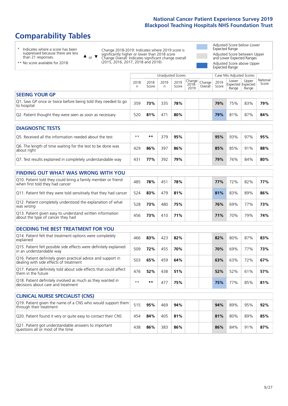# **Comparability Tables**

\* Indicates where a score has been suppressed because there are less than 21 responses.

\*\* No score available for 2018.

 $\triangle$  or  $\nabla$ 

Change 2018-2019: Indicates where 2019 score is significantly higher or lower than 2018 score Change Overall: Indicates significant change overall (2015, 2016, 2017, 2018 and 2019).

Adjusted Score below Lower Expected Range Adjusted Score between Upper and Lower Expected Ranges Adjusted Score above Upper Expected Range

|                                                                             | Case Mix Adjusted Scores<br>Unadjusted Scores |               |            |               |                                             |         |               |                |                                     |                   |
|-----------------------------------------------------------------------------|-----------------------------------------------|---------------|------------|---------------|---------------------------------------------|---------|---------------|----------------|-------------------------------------|-------------------|
|                                                                             | 2018                                          | 2018<br>Score | 2019<br>n. | 2019<br>Score | $\sim$   Change   Change  <br>2018-<br>2019 | Overall | 2019<br>Score | Lower<br>Range | Upper<br>Expected Expected<br>Range | National<br>Score |
| <b>SEEING YOUR GP</b>                                                       |                                               |               |            |               |                                             |         |               |                |                                     |                   |
| Q1. Saw GP once or twice before being told they needed to go<br>to hospital | 359                                           | 73%           | 335        | 78%           |                                             |         | 79%           | 75%            | 83%                                 | 79%               |
| Q2. Patient thought they were seen as soon as necessary                     | 520                                           | 81%           | 471        | 80%           |                                             |         | 79%           | 81%            | 87%                                 | 84%               |
|                                                                             |                                               |               |            |               |                                             |         |               |                |                                     |                   |

| <b>DIAGNOSTIC TESTS</b>                                                   |      |     |     |     |  |     |     |     |     |
|---------------------------------------------------------------------------|------|-----|-----|-----|--|-----|-----|-----|-----|
| O5. Received all the information needed about the test                    | $**$ | **  | 379 | 95% |  | 95% | 93% | 97% | 95% |
| Q6. The length of time waiting for the test to be done was<br>about right | 429  | 86% | 397 | 86% |  | 85% | 85% | 91% | 88% |
| Q7. Test results explained in completely understandable way               | 431  | 77% | 392 | 79% |  | 79% | 76% | 84% | 80% |

| <b>FINDING OUT WHAT WAS WRONG WITH YOU</b>                                                      |     |     |     |     |  |            |     |     |     |
|-------------------------------------------------------------------------------------------------|-----|-----|-----|-----|--|------------|-----|-----|-----|
| Q10. Patient told they could bring a family member or friend<br>when first told they had cancer | 485 | 78% | 451 | 78% |  | <b>77%</b> | 72% | 82% | 77% |
| Q11. Patient felt they were told sensitively that they had cancer                               | 524 | 83% | 479 | 81% |  | 81%        | 83% | 89% | 86% |
| Q12. Patient completely understood the explanation of what<br>was wrong                         | 528 | 73% | 480 | 75% |  | 76%        | 69% | 77% | 73% |
| Q13. Patient given easy to understand written information<br>about the type of cancer they had  | 456 | 73% | 410 | 71% |  | 71%        | 70% | 79% | 74% |

| <b>DECIDING THE BEST TREATMENT FOR YOU</b>                                                              |      |     |          |     |     |     |     |     |
|---------------------------------------------------------------------------------------------------------|------|-----|----------|-----|-----|-----|-----|-----|
| Q14. Patient felt that treatment options were completely<br>explained                                   | 466  | 83% | 423      | 82% | 82% | 80% | 87% | 83% |
| Q15. Patient felt possible side effects were definitely explained<br>in an understandable way           | 509  | 72% | 455      | 70% | 70% | 69% | 77% | 73% |
| Q16. Patient definitely given practical advice and support in<br>dealing with side effects of treatment | 503  | 65% | 459      | 64% | 63% | 63% | 72% | 67% |
| Q17. Patient definitely told about side effects that could affect<br>them in the future                 | 476  | 52% | 438      | 51% | 52% | 52% | 61% | 57% |
| Q18. Patient definitely involved as much as they wanted in<br>decisions about care and treatment        | $**$ | **  | $47^{-}$ | 75% | 75% | 77% | 85% | 81% |

| <b>CLINICAL NURSE SPECIALIST (CNS)</b>                                                    |     |     |     |     |     |     |     |     |
|-------------------------------------------------------------------------------------------|-----|-----|-----|-----|-----|-----|-----|-----|
| [Q19. Patient given the name of a CNS who would support them<br>through their treatment   | 515 | 95% | 469 | 94% | 94% | 89% | 95% | 92% |
| Q20. Patient found it very or quite easy to contact their CNS                             | 454 | 84% | 405 | 81% | 81% | 80% | 89% | 85% |
| Q21. Patient got understandable answers to important<br>questions all or most of the time | 438 | 86% | 383 | 86% | 86% | 84% | 91% | 87% |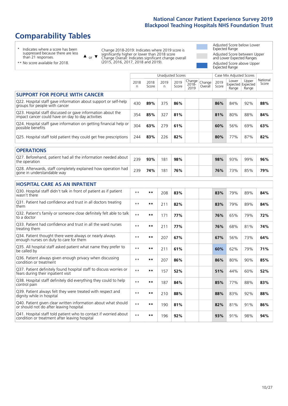# **Comparability Tables**

\* Indicates where a score has been suppressed because there are less than 21 responses.

\*\* No score available for 2018.

 $\triangle$  or  $\nabla$ 

Change 2018-2019: Indicates where 2019 score is significantly higher or lower than 2018 score Change Overall: Indicates significant change overall (2015, 2016, 2017, 2018 and 2019).

Adjusted Score below Lower Expected Range Adjusted Score between Upper and Lower Expected Ranges Adjusted Score above Upper Expected Range

|                                                                                                                   |              |               | <b>Unadjusted Scores</b> |               |                         |                   |               | Case Mix Adjusted Scores            |                |                   |
|-------------------------------------------------------------------------------------------------------------------|--------------|---------------|--------------------------|---------------|-------------------------|-------------------|---------------|-------------------------------------|----------------|-------------------|
|                                                                                                                   | 2018<br>n    | 2018<br>Score | 2019<br>n                | 2019<br>Score | Change<br>2018-<br>2019 | Change<br>Overall | 2019<br>Score | Lower<br>Expected Expected<br>Range | Upper<br>Range | National<br>Score |
| <b>SUPPORT FOR PEOPLE WITH CANCER</b>                                                                             |              |               |                          |               |                         |                   |               |                                     |                |                   |
| Q22. Hospital staff gave information about support or self-help<br>groups for people with cancer                  | 430          | 89%           | 375                      | 86%           |                         |                   | 86%           | 84%                                 | 92%            | 88%               |
| Q23. Hospital staff discussed or gave information about the<br>impact cancer could have on day to day activities  | 354          | 85%           | 327                      | 81%           |                         |                   | 81%           | 80%                                 | 88%            | 84%               |
| Q24. Hospital staff gave information on getting financial help or<br>possible benefits                            | 304          | 63%           | 279                      | 61%           |                         |                   | 60%           | 56%                                 | 69%            | 63%               |
| Q25. Hospital staff told patient they could get free prescriptions                                                | 244          | 83%           | 226                      | 82%           |                         |                   | 80%           | 77%                                 | 87%            | 82%               |
| <b>OPERATIONS</b>                                                                                                 |              |               |                          |               |                         |                   |               |                                     |                |                   |
| Q27. Beforehand, patient had all the information needed about<br>the operation                                    | 239          | 93%           | 181                      | 98%           |                         |                   | 98%           | 93%                                 | 99%            | 96%               |
| Q28. Afterwards, staff completely explained how operation had<br>gone in understandable way                       | 239          | 74%           | 181                      | 76%           |                         |                   | 76%           | 73%                                 | 85%            | 79%               |
| <b>HOSPITAL CARE AS AN INPATIENT</b>                                                                              |              |               |                          |               |                         |                   |               |                                     |                |                   |
| Q30. Hospital staff didn't talk in front of patient as if patient<br>wasn't there                                 | $**$         | $***$         | 208                      | 83%           |                         |                   | 83%           | 79%                                 | 89%            | 84%               |
| Q31. Patient had confidence and trust in all doctors treating<br>them                                             | $* *$        | $***$         | 211                      | 82%           |                         |                   | 83%           | 79%                                 | 89%            | 84%               |
| Q32. Patient's family or someone close definitely felt able to talk<br>to a doctor                                | $* *$        | $***$         | 171                      | 77%           |                         |                   | 76%           | 65%                                 | 79%            | 72%               |
| O33. Patient had confidence and trust in all the ward nurses<br>treating them                                     | $\star\star$ | **            | 211                      | 77%           |                         |                   | 76%           | 68%                                 | 81%            | 74%               |
| Q34. Patient thought there were always or nearly always<br>enough nurses on duty to care for them                 | $**$         | $***$         | 207                      | 67%           |                         |                   | 67%           | 56%                                 | 73%            | 64%               |
| Q35. All hospital staff asked patient what name they prefer to<br>be called by                                    | $\star\star$ | $***$         | 211                      | 61%           |                         |                   | 60%           | 62%                                 | 79%            | 71%               |
| Q36. Patient always given enough privacy when discussing<br>condition or treatment                                | $* *$        | $**$          | 207                      | 86%           |                         |                   | 86%           | 80%                                 | 90%            | 85%               |
| Q37. Patient definitely found hospital staff to discuss worries or<br>fears during their inpatient visit          | $* *$        | **            | 157                      | 52%           |                         |                   | 51%           | 44%                                 | 60%            | 52%               |
| Q38. Hospital staff definitely did everything they could to help<br>control pain                                  | $* *$        | $***$         | 187                      | 84%           |                         |                   | 85%           | 77%                                 | 88%            | 83%               |
| Q39. Patient always felt they were treated with respect and<br>dignity while in hospital                          | $\star\star$ | $**$          | 210                      | 88%           |                         |                   | 88%           | 83%                                 | 92%            | 88%               |
| Q40. Patient given clear written information about what should<br>or should not do after leaving hospital         | $**$         | $***$         | 190                      | 81%           |                         |                   | 82%           | 81%                                 | 91%            | 86%               |
| Q41. Hospital staff told patient who to contact if worried about<br>condition or treatment after leaving hospital | $\star\star$ | $***$         | 196                      | 92%           |                         |                   | 93%           | 91%                                 | 98%            | 94%               |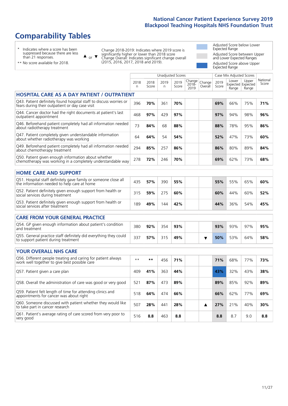# **Comparability Tables**

\* Indicates where a score has been suppressed because there are less than 21 responses.

\*\* No score available for 2018.

 $\triangle$  or  $\nabla$ 

Change 2018-2019: Indicates where 2019 score is significantly higher or lower than 2018 score Change Overall: Indicates significant change overall (2015, 2016, 2017, 2018 and 2019).

Adjusted Score below Lower Expected Range Adjusted Score between Upper and Lower Expected Ranges Adjusted Score above Upper Expected Range

|                                                                                                                       |           |               | <b>Unadjusted Scores</b> |               |                            |                   |               | Case Mix Adjusted Scores            |                |                   |
|-----------------------------------------------------------------------------------------------------------------------|-----------|---------------|--------------------------|---------------|----------------------------|-------------------|---------------|-------------------------------------|----------------|-------------------|
|                                                                                                                       | 2018<br>n | 2018<br>Score | 2019<br>n                | 2019<br>Score | Change<br>$2018 -$<br>2019 | Change<br>Overall | 2019<br>Score | Lower<br>Expected Expected<br>Range | Upper<br>Range | National<br>Score |
| <b>HOSPITAL CARE AS A DAY PATIENT / OUTPATIENT</b>                                                                    |           |               |                          |               |                            |                   |               |                                     |                |                   |
| Q43. Patient definitely found hospital staff to discuss worries or<br>fears during their outpatient or day case visit | 396       | 70%           | 361                      | 70%           |                            |                   | 69%           | 66%                                 | 75%            | 71%               |
| Q44. Cancer doctor had the right documents at patient's last<br>outpatient appointment                                | 468       | 97%           | 429                      | 97%           |                            |                   | 97%           | 94%                                 | 98%            | 96%               |
| Q46. Beforehand patient completely had all information needed<br>about radiotherapy treatment                         | 73        | 84%           | 68                       | 88%           |                            |                   | 88%           | 78%                                 | 95%            | 86%               |
| Q47. Patient completely given understandable information<br>about whether radiotherapy was working                    | 64        | 64%           | 54                       | 54%           |                            |                   | 52%           | 47%                                 | 73%            | 60%               |
| Q49. Beforehand patient completely had all information needed<br>about chemotherapy treatment                         | 294       | 85%           | 257                      | 86%           |                            |                   | 86%           | 80%                                 | 89%            | 84%               |
| Q50. Patient given enough information about whether<br>chemotherapy was working in a completely understandable way    | 278       | 72%           | 246                      | 70%           |                            |                   | 69%           | 62%                                 | 73%            | 68%               |
| <b>HOME CARE AND SUPPORT</b>                                                                                          |           |               |                          |               |                            |                   |               |                                     |                |                   |
| Q51. Hospital staff definitely gave family or someone close all<br>the information needed to help care at home        | 435       | 57%           | 390                      | 55%           |                            |                   | 55%           | 55%                                 | 65%            | 60%               |
| Q52. Patient definitely given enough support from health or<br>social services during treatment                       | 315       | 59%           | 275                      | 60%           |                            |                   | 60%           | 44%                                 | 60%            | 52%               |
| Q53. Patient definitely given enough support from health or<br>social services after treatment                        | 189       | 49%           | 144                      | 42%           |                            |                   | 44%           | 36%                                 | 54%            | 45%               |
| <b>CARE FROM YOUR GENERAL PRACTICE</b>                                                                                |           |               |                          |               |                            |                   |               |                                     |                |                   |
| Q54. GP given enough information about patient's condition<br>and treatment                                           | 380       | 92%           | 354                      | 93%           |                            |                   | 93%           | 93%                                 | 97%            | 95%               |
| Q55. General practice staff definitely did everything they could<br>to support patient during treatment               | 337       | 57%           | 315                      | 49%           |                            | ▼                 | 50%           | 53%                                 | 64%            | 58%               |
| <b>YOUR OVERALL NHS CARE</b>                                                                                          |           |               |                          |               |                            |                   |               |                                     |                |                   |
| Q56. Different people treating and caring for patient always<br>work well together to give best possible care         | $* *$     | $***$         | 456                      | 71%           |                            |                   | 71%           | 68%                                 | 77%            | 73%               |
| Q57. Patient given a care plan                                                                                        | 409       | 41%           | 363                      | 44%           |                            |                   | 43%           | 32%                                 | 43%            | 38%               |
| Q58. Overall the administration of care was good or very good                                                         | 521       | 87%           | 473                      | 89%           |                            |                   | 89%           | 85%                                 | 92%            | 89%               |
| Q59. Patient felt length of time for attending clinics and<br>appointments for cancer was about right                 | 518       | 64%           | 474                      | 66%           |                            |                   | 66%           | 62%                                 | 77%            | 69%               |
| Q60. Someone discussed with patient whether they would like<br>to take part in cancer research                        | 507       | 28%           | 441                      | 28%           |                            | ▲                 | 27%           | 21%                                 | 40%            | 30%               |
| Q61. Patient's average rating of care scored from very poor to<br>very good                                           | 516       | 8.8           | 463                      | 8.8           |                            |                   | 8.8           | 8.7                                 | 9.0            | 8.8               |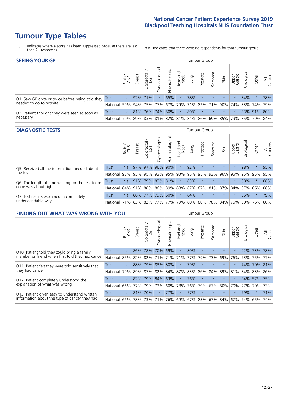# **Tumour Type Tables**

- \* Indicates where a score has been suppressed because there are less than 21 responses.
- n.a. Indicates that there were no respondents for that tumour group.

| <b>SEEING YOUR GP</b>                           |            |              |               |                   |                |                |                  |      | Tumour Group |         |         |                 |                                                         |             |                |
|-------------------------------------------------|------------|--------------|---------------|-------------------|----------------|----------------|------------------|------|--------------|---------|---------|-----------------|---------------------------------------------------------|-------------|----------------|
|                                                 |            | Brain<br>CNS | <b>Breast</b> | Colorectal<br>LGT | Gynaecological | Haematological | Head and<br>Neck | Lung | Prostate     | Sarcoma | Skin    | Upper<br>Gastro | $\overline{\sigma}$<br>Jrologica                        | Other       | All<br>Cancers |
| Q1. Saw GP once or twice before being told they | Trust      |              | n.a. 92% 71%  |                   |                | 65%            | $\star$          | 78%  | $\star$      | $\star$ | $\star$ | $\star$         | 84%                                                     | $\star$     | 78%            |
| needed to go to hospital                        | National I |              |               |                   |                |                |                  |      |              |         |         |                 | 59% 94% 75% 77% 67% 79% 71% 82% 71% 90% 74% 83% 74% 79% |             |                |
| Q2. Patient thought they were seen as soon as   | Trust      | n.a.         |               | 81% 76% 74% 80%   |                |                | $\star$          | 80%  | $\star$      | $\star$ | $\star$ | $\star$         |                                                         | 83% 91% 80% |                |
| necessary                                       | National I | 79%          |               |                   |                |                |                  |      |              |         |         |                 | 89% 83% 81% 82% 81% 84% 86% 69% 85% 79% 85% 79%         |             | 84%            |

#### **DIAGNOSTIC TESTS** Tumour Group

|                                                   |                                                                  | Brain | <b>Breast</b> | Colorectal<br>LGT | Gynaecologica | Haematological | Head and<br>Neck | Lung | Prostate            | Sarcoma | Skin    | Upper<br>Gastro | rological | Other   | All<br>Cancers |
|---------------------------------------------------|------------------------------------------------------------------|-------|---------------|-------------------|---------------|----------------|------------------|------|---------------------|---------|---------|-----------------|-----------|---------|----------------|
| Q5. Received all the information needed about     | <b>Trust</b>                                                     | n.a.  |               | 97% 97%           | 96%           | 90%            | $\star$          | 92%  |                     |         | $\star$ | $\star$         | 98%       | $\star$ | 95%            |
| the test                                          | National                                                         | 93%   |               | 95% 95%           |               |                |                  |      | 93% 95% 93% 95% 95% | 93%     | 96%     | 95%             | 95% 95%   |         | 95%            |
| Q6. The length of time waiting for the test to be | Trust                                                            | n.a.  | 91%           | 79%               | 83% 81%       |                | $\star$          | 83%  | $\star$             | $\star$ | $\star$ | $\star$         | 88%       | $\star$ | 86%            |
| done was about right                              | National 84% 91% 88% 86% 89% 88% 87% 87% 81% 87% 84% 87% 86% 88% |       |               |                   |               |                |                  |      |                     |         |         |                 |           |         |                |
| Q7. Test results explained in completely          | <b>Trust</b>                                                     | n.a.  |               | 86% 77%           |               | 79% 60%        | $\star$          | 84%  | $\star$             | $\star$ | $\star$ | $\star$         | 85%       | $\star$ | 79%            |
| understandable way                                | National 71% 83% 82% 77% 77% 79% 80% 80% 78% 84% 75% 80% 76% 80% |       |               |                   |               |                |                  |      |                     |         |         |                 |           |         |                |

| <b>FINDING OUT WHAT WAS WRONG WITH YOU</b>        |              |       |               |                                 |                |                |                        |      | Tumour Group |         |             |                 |            |         |                |
|---------------------------------------------------|--------------|-------|---------------|---------------------------------|----------------|----------------|------------------------|------|--------------|---------|-------------|-----------------|------------|---------|----------------|
|                                                   |              | Brain | <b>Breast</b> | ╮<br>olorectal<br>LGT<br>$\cup$ | Gynaecological | Haematological | ad and<br>Neck<br>Head | Lung | Prostate     | Sarcoma | Skin        | Upper<br>Gastro | Jrological | Other   | All<br>Cancers |
| Q10. Patient told they could bring a family       | <b>Trust</b> | n.a.  | 86%           | 78%                             | 70%            | 69%            | $\star$                | 80%  | $\star$      | $\star$ | $\star$     | $\star$         |            | 92% 73% | 78%            |
| member or friend when first told they had cancer  | National     | 85%   | 82%           | 82%                             |                | 71% 71%        | 71%                    | 77%  | 79%          | 73%     | 69%         | 76%             |            | 73% 75% | 77%            |
| Q11. Patient felt they were told sensitively that | Trust        | n.a.  | 88%           | 79%                             | 83%            | 80%            | $\star$                | 79%  | $\star$      | $\star$ | $\star$     | $\star$         | 74%        |         | 70% 81%        |
| they had cancer                                   | National     | 79%   |               | 89% 87%                         | 82% 84% 87%    |                |                        |      | 83% 86%      |         | 84% 89% 81% |                 |            |         | 84% 83% 86%    |
| Q12. Patient completely understood the            | Trust        | n.a.  | 82%           | 79%                             | 84%            | 63%            | $\star$                | 76%  | $\star$      |         | $\star$     | $\star$         |            | 84% 57% | 75%            |
| explanation of what was wrong                     | National     | 66%   | 77%           | 79%                             | 73%            | 60%            | 78%                    | 76%  | 79%          | 67%     | 80%         | 70%             | 77%        | 70%     | 73%            |
| Q13. Patient given easy to understand written     | Trust        | n.a.  | 81%           | 70%                             | $\star$        | 77%            | $\star$                | 57%  | $\star$      | $\star$ | $\star$     | $\star$         | 79%        | $\ast$  | 71%            |
| information about the type of cancer they had     | National     | 66%   | 78%           | 73%                             | 71%            |                | 76% 69% 67% 83%        |      |              |         | 67% 84%     | 67%             |            | 74% 65% | 74%            |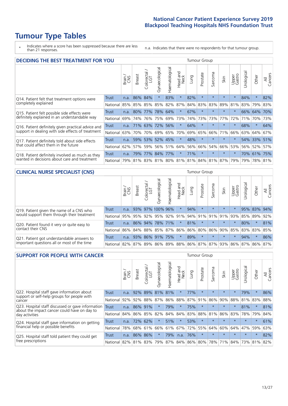# **Tumour Type Tables**

\* Indicates where a score has been suppressed because there are less than 21 responses.

n.a. Indicates that there were no respondents for that tumour group.

| <b>DECIDING THE BEST TREATMENT FOR YOU</b>         |              |       |               |                       |                |                |                        |      | <b>Tumour Group</b> |         |                                     |                 |            |             |                |
|----------------------------------------------------|--------------|-------|---------------|-----------------------|----------------|----------------|------------------------|------|---------------------|---------|-------------------------------------|-----------------|------------|-------------|----------------|
|                                                    |              | Brain | <b>Breast</b> | olorectal<br>LGT<br>Ũ | Gynaecological | Haematological | ad and<br>Neck<br>Head | Lung | Prostate            | Sarcoma | Skin                                | Upper<br>Gastro | Jrological | Other       | All<br>Cancers |
| Q14. Patient felt that treatment options were      | <b>Trust</b> | n.a.  | 86%           | 84%                   | $\star$        | 83%            | $\star$                | 82%  | $\star$             | 大       |                                     | $\star$         | 84%        | $\star$     | 82%            |
| completely explained                               | National     | 85%   | 85%           | 85%                   | 85%            | 82%            | 87%                    | 84%  | 83%                 | 83%     | 89%                                 | 81%             | 83%        | 79%         | 83%            |
| Q15. Patient felt possible side effects were       | Trust        | n.a.  | 80%           | 77%                   | 78%            | 64%            | $\star$                | 67%  | $\star$             |         | $\star$                             | $\star$         |            | 66% 64%     | 70%            |
| definitely explained in an understandable way      | National     | 69%   | 74%           | 76%                   | 75%            | 69%            | 73%                    | 74%  | 73%                 | 73%     | 77%                                 | 72%             | 71%        | 70%         | 73%            |
| Q16. Patient definitely given practical advice and | Trust        | n.a.  |               | 71% 63%               | 72%            | 56%            | $\star$                | 64%  | $\star$             | $\star$ | $\star$                             | $\star$         | 68%        | $\star$     | 64%            |
| support in dealing with side effects of treatment  | National     | 63%   | 70%           | 70%                   |                | 69% 65%        | 70%                    | 69%  | 65%                 | 66%     | 71%                                 | 66%             |            | 63% 64%     | 67%            |
| Q17. Patient definitely told about side effects    | Trust        | n.a.  | 59%           | 53%                   |                | 52% 45%        | $\star$                | 48%  | $\star$             | $\star$ | $\star$                             | $\star$         |            | 54% 33%     | 51%            |
| that could affect them in the future               | National     | 62%   | 57%           | 59%                   |                | 56% 51%        | 64%                    | 56%  | 66%                 | 54%     | 66%                                 | 53%             |            | 56% 52%     | 57%            |
| Q18. Patient definitely involved as much as they   | Trust        | n.a.  | 79%           |                       | 77% 84% 77%    |                | $\star$                | 71%  | $\star$             | $\star$ | $\star$                             | $\star$         |            | 70% 61% 75% |                |
| wanted in decisions about care and treatment       | National I   | 79%   |               |                       |                |                |                        |      |                     |         | 81% 83% 81% 80% 81% 81% 84% 81% 87% | 79%             | 79%        | 78% 81%     |                |

#### **CLINICAL NURSE SPECIALIST (CNS)** Tumour Group

|                                             |              | Brain | <b>Breast</b>               | olorectal<br>LGT<br>U | $\sigma$<br>aecologic<br>Ğ | Haematological | Head and<br>Neck | Lung | Prostate | Sarcoma | Skin                            | Upper<br>Gastro | σ<br>Jrologica | Other       | All<br>Cancers |
|---------------------------------------------|--------------|-------|-----------------------------|-----------------------|----------------------------|----------------|------------------|------|----------|---------|---------------------------------|-----------------|----------------|-------------|----------------|
| Q19. Patient given the name of a CNS who    | Trust        | n.a.  |                             | 93% 97% 100% 96%      |                            |                | $\star$          | 94%  | $\star$  | $\star$ | $\star$                         | $\star$         |                | 95% 83% 94% |                |
| would support them through their treatment  | National     | 95%   |                             | 95% 92%               |                            |                |                  |      |          |         | 95% 92% 91% 94% 91% 91% 91% 92% |                 |                | 85% 89%     | 92%            |
| Q20. Patient found it very or quite easy to | <b>Trust</b> | n.a.  |                             | 86% 94%               |                            | 78% 71%        | $\star$          | 81%  | $\star$  | $\star$ | $\star$                         | $\star$         | 80%            | $\ast$      | 81%            |
| contact their CNS                           | National     | 86%   | 84% 88% 85% 87% 86% 86% 80% |                       |                            |                |                  |      |          | 86%     | 90%                             | 85%             |                | 83% 83%     | 85%            |
| Q21. Patient got understandable answers to  | Trust        | n.a.  | 93%                         | 86% 91%               |                            | 175%           | $\star$          | 89%  | $\star$  | $\star$ | $\star$                         | $\star$         | 94%            | $\ast$      | 86%            |
| important questions all or most of the time | National     |       | 82% 87%                     | 89%                   | 86%                        |                |                  |      |          |         | 89% 88% 86% 87% 87% 93% 86%     |                 |                | 87% 86%     | 87%            |

| <b>SUPPORT FOR PEOPLE WITH CANCER</b>                                                             |              |       |               |                        |                |                |                        |      | Tumour Group |         |         |                 |           |         |                |
|---------------------------------------------------------------------------------------------------|--------------|-------|---------------|------------------------|----------------|----------------|------------------------|------|--------------|---------|---------|-----------------|-----------|---------|----------------|
|                                                                                                   |              | Brain | <b>Breast</b> | olorectal.<br>LGT<br>Ũ | Gynaecological | Haematological | ad and<br>Neck<br>Head | Lung | Prostate     | Sarcoma | Skin    | Upper<br>Gastro | Jrologica | Other   | All<br>Cancers |
| Q22. Hospital staff gave information about<br>support or self-help groups for people with         | <b>Trust</b> | n.a.  | 92%           | 89%                    | 81%            | 81%            | $\ast$                 | 77%  | $\star$      | $\star$ | $\star$ | $\star$         | 79%       | $\ast$  | 86%            |
| cancer                                                                                            | National     | 92%   | 92%           | 88%                    | 87%            | 86%            | 88%                    | 87%  | 91%          | 86%     | 90%     | 88%             | 81%       | 83%     | 88%            |
| Q23. Hospital staff discussed or gave information<br>about the impact cancer could have on day to | Trust        | n.a.  | 86% 91%       |                        | $\star$        | 79%            | $\star$                | 75%  | $\star$      | $\star$ | $\star$ | $\star$         | 81%       | $\star$ | 81%            |
| day activities                                                                                    | National     | 84%   | 86%           | 85%                    | 82%            | 84%            | 84%                    | 83%  | 88%          | 81%     | 86%     | 83%             | 78%       | 79%     | 84%            |
| Q24. Hospital staff gave information on getting                                                   | Trust        | n.a.  |               | 72% 62%                |                | 51%            | $\star$                | 53%  | $\star$      | $\star$ |         | $\star$         | $\star$   | $\ast$  | 61%            |
| financial help or possible benefits                                                               | National     | 78%   |               | 68% 61%                | 66%            |                | 61% 67%                | 72%  | 55%          | 64%     | 60%     | 64%             | 47%       | 59%     | 63%            |
| Q25. Hospital staff told patient they could get                                                   | Trust        | n.a.  |               | 86% 86%                | $\star$        | 79%            | n.a.                   | 76%  | $\star$      | $\star$ | $\star$ | $\star$         | $\star$   | $\ast$  | 82%            |
| free prescriptions                                                                                | National I   | 82%   | 81% 83%       |                        | 79%            |                | 87% 84% 86% 80%        |      |              |         | 78% 71% | 84%             |           | 73% 81% | 82%            |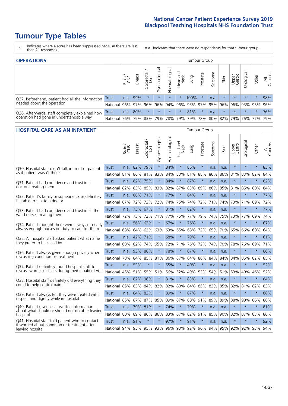# **Tumour Type Tables**

- \* Indicates where a score has been suppressed because there are less than 21 responses.
- n.a. Indicates that there were no respondents for that tumour group.

| <b>OPERATIONS</b>                                |              |       |               |                             |                                     |                 |                  |      | Tumour Group |         |                             |                 |             |           |                |
|--------------------------------------------------|--------------|-------|---------------|-----------------------------|-------------------------------------|-----------------|------------------|------|--------------|---------|-----------------------------|-----------------|-------------|-----------|----------------|
|                                                  |              | Brain | <b>Breast</b> | iolorectal<br>LGT<br>$\cup$ | $\overline{\sigma}$<br>Gynaecologic | Haematological  | Head and<br>Neck | Lung | Prostate     | Sarcoma | Skin                        | Upper<br>Gastro | Jrological  | Other     | All<br>Cancers |
| Q27. Beforehand, patient had all the information | <b>Trust</b> | n.a.  | 99%           |                             | $\star$                             | $\star$         | $\ast$           | 100% |              | n.a.    | $\star$                     | $\star$         | $\star$     | $\star$   | 98%            |
| needed about the operation                       | National     | 96%   | 97%           | 96%                         |                                     |                 |                  |      |              |         | 96% 94% 96% 95% 97% 95% 96% |                 | 96% 95% 95% |           | 96%            |
| Q28. Afterwards, staff completely explained how  | <b>Trust</b> | n.a.  | 80%           |                             | $\star$                             | $\star$         | $\ast$           | 81%  | $\star$      | n.a.    | $\star$                     | $\star$         | $\star$     | $\star$   | 76%            |
| operation had gone in understandable way         | National     | 76%   | 79%           | 83%                         |                                     | 79%   78%   79% |                  |      |              |         | 79% 78% 80% 82% 79%         |                 |             | 76%   77% | 79%            |

#### **HOSPITAL CARE AS AN INPATIENT** Tumour Group

|                                                                                                   |                                          | Brain | <b>Breast</b> | Colorectal /<br>LGT | Gynaecological | Haematological | Head and<br>Neck | Lung | Prostate | Sarcoma | Skin                | Upper<br>Gastro | Urological | Other   | Cancers<br>₹ |
|---------------------------------------------------------------------------------------------------|------------------------------------------|-------|---------------|---------------------|----------------|----------------|------------------|------|----------|---------|---------------------|-----------------|------------|---------|--------------|
| Q30. Hospital staff didn't talk in front of patient                                               | <b>Trust</b>                             | n.a.  | 82%           | 79%                 | $\star$        | 84%            | $\star$          | 86%  | $\star$  | n.a.    | n.a.                | $\star$         | $\star$    | $\star$ | 83%          |
| as if patient wasn't there                                                                        | National                                 | 81%   | 86%           | 81%                 | 83%            | 84%            | 83%              | 81%  | 88%      | 86%     | 86%                 | 81%             | 83%        | 82%     | 84%          |
| 031. Patient had confidence and trust in all                                                      | Trust                                    | n.a.  | 82% 75%       |                     | $\star$        | 84%            | $\star$          | 87%  | $\star$  | n.a.    | n.a.                | $\star$         | $\star$    | $\star$ | 82%          |
| doctors treating them                                                                             | National                                 | 82%   | 83%           | 85%                 | 83%            | 82%            | 87%              | 83%  | 89%      | 86%     | 85%                 | 81%             | 85%        | 80%     | 84%          |
| Q32. Patient's family or someone close definitely                                                 | <b>Trust</b>                             | n.a.  | 80% 71%       |                     |                | 77%            | $\star$          | 84%  | $\star$  | n.a.    | n.a.                |                 | $\star$    | $\star$ | 77%          |
| felt able to talk to a doctor                                                                     | National                                 | 67%   | 72%           | 73%                 | 72%            | 74%            | 75%              | 74%  | 72%      | 71%     | 74%                 | 73%             | 71%        | 69%     | 72%          |
| Q33. Patient had confidence and trust in all the<br>ward nurses treating them                     | <b>Trust</b>                             | n.a.  | 73% 67%       |                     |                | 81%            | $\star$          | 82%  | $\star$  | n.a.    | n.a.                | $\star$         | $\star$    | $\star$ | 77%          |
|                                                                                                   | National                                 | 72%   |               | 73% 72%             | 71%            |                | 77% 75% 77%      |      | 79%      | 74%     | 75%                 | 73%             | 77%        | 69%     | 74%          |
| Q34. Patient thought there were always or nearly<br>always enough nurses on duty to care for them | <b>Trust</b>                             | n.a.  | 56% 63%       |                     | $\star$        | 67%            | $\star$          | 76%  | $\star$  | n.a.    | n.a.                | $\star$         | $\star$    | $\star$ | 67%          |
|                                                                                                   | National                                 | 68%   |               | 64% 62%             | 63%            |                | 63% 65%          | 68%  | 72%      | 65%     | 70%                 | 65%             | 66%        | 60%     | 64%          |
| Q35. All hospital staff asked patient what name<br>they prefer to be called by                    | Trust                                    | n.a.  | 42% 71%       |                     | $\star$        | 68%            | $\ast$           | 79%  | $\star$  | n.a.    | n.a.                | $\star$         | $\star$    | $\star$ | 61%          |
|                                                                                                   | National                                 | 68%   | 62%           | 74%                 | 65%            | 72%            | 71%              | 76%  | 72%      | 74%     | 70%                 | 78%             | 76%        | 69%     | 71%          |
| Q36. Patient always given enough privacy when                                                     | <b>Trust</b>                             | n.a.  | 93% 88%       |                     | $\star$        | 78%            | $\star$          | 87%  | $\star$  | n.a.    | n.a.                | $\star$         | $\star$    | $\star$ | 86%          |
| discussing condition or treatment                                                                 | National                                 | 78%   |               | 84% 85%             | 81%            |                | 86% 87%          | 84%  | 88%      | 84%     | 84%                 | 84%             | 85%        | 82%     | 85%          |
| Q37. Patient definitely found hospital staff to                                                   | <b>Trust</b>                             | n.a.  | 53%           | $\star$             | $\star$        | 55%            | $\star$          | 40%  | $\star$  | n.a.    | n.a.                |                 | $\star$    | $\star$ | 52%          |
| discuss worries or fears during their inpatient visit                                             | National                                 | 45%   |               | 51% 55%             | 51%            |                | 56% 52%          | 49%  | 53%      | 54%     | 51%                 | 53%             | 49%        | 46%     | 52%          |
| Q38. Hospital staff definitely did everything they                                                | <b>Trust</b>                             |       | n.a. 82% 96%  |                     | $\star$        | 81%            | $\star$          | 83%  | $\star$  | n.a.    | n.a.                | $\star$         | $\star$    | $\star$ | 84%          |
| could to help control pain                                                                        | National                                 | 85%   |               | 83% 84%             | 82%            |                | 82% 80%          | 84%  | 85%      | 83%     | 85%                 | 82%             | 81%        | 82%     | 83%          |
| Q39. Patient always felt they were treated with                                                   | <b>Trust</b>                             | n.a.  | 84% 83%       |                     | $\star$        | 89%            | $\star$          | 87%  | $\star$  | n.a.    | n.a.                | $\star$         | $\star$    | $\ast$  | 88%          |
| respect and dignity while in hospital                                                             | National                                 | 85%   | 87%           | 87%                 | 85%            | 89%            | 87%              | 88%  | 91%      | 89%     | 89%                 | 88%             | 90%        | 86%     | 88%          |
| Q40. Patient given clear written information<br>about what should or should not do after leaving  | <b>Trust</b>                             | n.a.  | 79% 81%       |                     |                | 74%            | $\star$          | 79%  | $\star$  | n.a.    | n.a.                |                 | $\star$    | $\star$ | 81%          |
| hospital                                                                                          | National                                 | 80%   |               | 89% 86%             | 86%            |                | 83% 87%          | 82%  | 91%      | 85%     | 90%                 | 82%             | 87%        | 83%     | 86%          |
| Q41. Hospital staff told patient who to contact<br>if worried about condition or treatment after  | <b>Trust</b>                             | n.a.  | 91%           | $\star$             | $\star$        | 97%            | $\star$          | 91%  | $\star$  | n.a.    | n.a.                | $\star$         | $\star$    | $\star$ | 92%          |
| leaving hospital                                                                                  | National 94% 95% 95% 93% 96% 93% 92% 96% |       |               |                     |                |                |                  |      |          |         | 94% 95% 92% 92% 93% |                 |            |         | 94%          |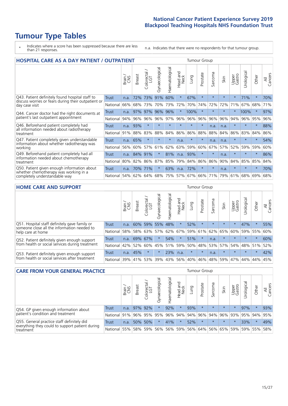# **Tumour Type Tables**

\* Indicates where a score has been suppressed because there are less than 21 responses.

n.a. Indicates that there were no respondents for that tumour group.

| <b>HOSPITAL CARE AS A DAY PATIENT / OUTPATIENT</b>                                                                    | <b>Tumour Group</b> |       |               |                 |                |                |                         |         |          |                          |         |                 |            |         |                |
|-----------------------------------------------------------------------------------------------------------------------|---------------------|-------|---------------|-----------------|----------------|----------------|-------------------------|---------|----------|--------------------------|---------|-----------------|------------|---------|----------------|
|                                                                                                                       |                     | Brain | <b>Breast</b> | ∽<br>Colorectal | Gynaecological | Haematological | ead and<br>Neck<br>Head | Lung    | Prostate | arcoma<br>$\overline{2}$ | Skin    | Upper<br>Gastro | Urological | Other   | All<br>Cancers |
| Q43. Patient definitely found hospital staff to                                                                       | <b>Trust</b>        | n.a.  | 72%           | 73%             | 91%            | 60%            | $\star$                 | 67%     | $\star$  | $\star$                  | $\star$ | $\star$         | 71%        | $\star$ | 70%            |
| discuss worries or fears during their outpatient or<br>day case visit                                                 | National            | 66%   | 68%           | 73%             | 70%            | 73%            | 72%                     | 70%     | 74%      | 72%                      | 72%     | 71%             | 67%        | 68%     | 71%            |
| Q44. Cancer doctor had the right documents at<br>patient's last outpatient appointment                                | Trust               | n.a.  | 97%           | 97%             | 96%            | 96%            | $\ast$                  | 100%    | $\star$  | $\star$                  |         |                 | 100%       | $\ast$  | 97%            |
|                                                                                                                       | National            | 94%   | 96%           | 96%             | 96%            | 97%            | 96%                     | 96%     | 96%      | 96%                      | 96%     | 94%             | 96%        | 95%     | 96%            |
| Q46. Beforehand patient completely had                                                                                | <b>Trust</b>        | n.a.  | 93%           | $\star$         | $\star$        | $\star$        | $\star$                 | $\star$ | $\star$  | n.a.                     | n.a.    | $\star$         | $\star$    | $\star$ | 88%            |
| all information needed about radiotherapy<br>treatment                                                                | National            | 91%   | 88%           | 83%             | 88%            | 84%            | 86%                     | 86%     | 88%      | 88%                      | 84%     | 86%             | 83%        | 84%     | 86%            |
| Q47. Patient completely given understandable                                                                          | <b>Trust</b>        | n.a.  | 65%           | $\star$         |                | $\star$        | n.a.                    | $\star$ | $\star$  | n.a.                     | n.a.    | $\star$         | $\star$    | $\star$ | 54%            |
| information about whether radiotherapy was<br>working                                                                 | National            | 56%   | 60%           | 57%             | 61%            | 62%            | 63%                     | 59%     | 60%      | 67%                      | 57%     | 52%             | 59%        | 59%     | 60%            |
| Q49. Beforehand patient completely had all                                                                            | Trust               | n.a.  | 84%           | 91%             |                | 81%            | n.a.                    | 93%     | $\star$  | $\star$                  | n.a.    | $\star$         | $\star$    | $\star$ | 86%            |
| information needed about chemotherapy<br>treatment                                                                    | National            | 80%   | 82%           | 86%             | 87%            | 85%            |                         | 79% 84% | 86%      | 86%                      | 90%     | 84%             | 85%        | 85%     | 84%            |
| Q50. Patient given enough information about<br>whether chemotherapy was working in a<br>completely understandable way | Trust               | n.a.  | 70%           | 71%             | $\star$        | 63%            | n.a.                    | 72%     | $\star$  | $\star$                  | n.a.    | $\star$         | $\star$    | $\star$ | 70%            |
|                                                                                                                       | National            | 54%   | 62%           | 64%             | 68%            | 75%            | 57%                     | 67%     | 66%      | 71%                      | 79%     | 61%             | 68%        | 69%     | 68%            |

#### **HOME CARE AND SUPPORT** Tumour Group

|                                                                                                                   |                 | Brain | <b>Breast</b> | Colorectal<br>LGT | $\overline{\sigma}$<br>Gynaecologic | ত<br>Haematologic | ad and<br>Neck<br>Head | Lung    | Prostate | Sarcoma | Skin    | Upper<br>Gastro | rological | Other   | All<br>Cancers |
|-------------------------------------------------------------------------------------------------------------------|-----------------|-------|---------------|-------------------|-------------------------------------|-------------------|------------------------|---------|----------|---------|---------|-----------------|-----------|---------|----------------|
| Q51. Hospital staff definitely gave family or<br>someone close all the information needed to<br>help care at home | <b>Trust</b>    | n.a.  | 60%           | 59%               | 55%                                 | 48%               | $\star$                | 52%     | $\star$  | $\star$ | $\star$ | $\star$         | 47%       | $\ast$  | 55%            |
|                                                                                                                   | National        | 58%   |               | 58% 63%           | 57%                                 |                   | 62% 67%                |         | 59% 61%  |         | 62% 65% | 60%             | 59%       | 55%     | 60%            |
| Q52. Patient definitely given enough support<br>from health or social services during treatment                   | Trust           | n.a.  | 69% 67%       |                   | $\star$                             | 54%               | $\star$                | 51%     |          | n.a.    | $\star$ | $\star$         | $\star$   | $\star$ | 60%            |
|                                                                                                                   | National        | 42%   | 52%           | 60%               | 45%                                 | $ 51\% $          | 59%                    | 50%     | 48%      | 53%     | 57%     | 54%             | 48% 51%   |         | 52%            |
| Q53. Patient definitely given enough support<br>from health or social services after treatment                    | Trust           | n.a.  | 45%           |                   | $\star$                             | 23%               | n.a.                   | $\star$ | $\star$  | n.a.    | $\star$ | $\star$         | $\star$   | $\star$ | 42%            |
|                                                                                                                   | <b>National</b> | 39%   | 41% 53%       |                   | 39%                                 | $ 43\% $          | 56%                    | 40%     | 46%      |         | 48% 59% | 47%             | 44%       | 44%     | 45%            |

| <b>CARE FROM YOUR GENERAL PRACTICE</b>                                                                     |              |        |               |                   |                                                     | Tumour Group   |                  |      |          |         |                                     |                 |                |         |                |
|------------------------------------------------------------------------------------------------------------|--------------|--------|---------------|-------------------|-----------------------------------------------------|----------------|------------------|------|----------|---------|-------------------------------------|-----------------|----------------|---------|----------------|
|                                                                                                            |              | Brain, | <b>Breast</b> | Colorectal<br>LGT | Gynaecological                                      | Haematological | Head and<br>Neck | Lung | Prostate | Sarcoma | Skin                                | Upper<br>Gastro | Φ<br>Urologica | Other   | All<br>Cancers |
| Q54. GP given enough information about<br>patient's condition and treatment                                | <b>Trust</b> | n.a.   |               | 97% 92%           |                                                     | 92%            | $\star$          | 93%  | $\star$  | $\star$ | $\star$                             | $\star$         | 97%            |         | 93%            |
|                                                                                                            | National     | 91%    |               |                   | 96% 95% 95%                                         |                |                  |      |          |         | 96% 94% 94% 96% 94% 96% 93% 95% 94% |                 |                |         | 95%            |
| Q55. General practice staff definitely did<br>everything they could to support patient during<br>treatment | Trust        | n.a.   |               | 50% 50%           |                                                     | 41%            | $\star$          | 52%  | $\star$  | $\star$ | $\star$                             | $\star$         | 33%            | $\star$ | 49%            |
|                                                                                                            | National 55% |        |               |                   | 58% 59% 56% 56% 59% 56% 64% 56% 65% 59% 59% 55% 59% |                |                  |      |          |         |                                     |                 |                |         | 58%            |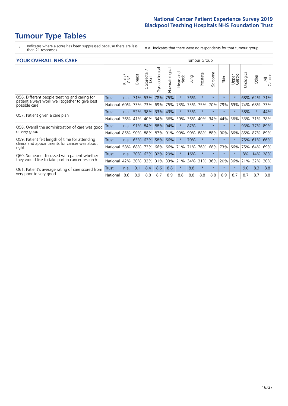# **Tumour Type Tables**

- \* Indicates where a score has been suppressed because there are less than 21 responses.
- n.a. Indicates that there were no respondents for that tumour group.

#### **YOUR OVERALL NHS CARE** THE TWO CONTROLLER THE THE THROUP CHANGE THE TUMOUR GROUP

|                                                                                                 |              | Brain<br>CNS | <b>Breast</b> | Colorectal<br>LGT | Gynaecological | ematological<br>훈 | Head and<br>Neck | Lung | Prostate | arcoma<br>$\sqrt{ }$ | Skin    | Upper<br>Gastro | लु<br>Urologia | Other    | All<br>Cancers |
|-------------------------------------------------------------------------------------------------|--------------|--------------|---------------|-------------------|----------------|-------------------|------------------|------|----------|----------------------|---------|-----------------|----------------|----------|----------------|
| Q56. Different people treating and caring for                                                   | <b>Trust</b> | n.a.         | 71%           | 53%               | 78%            | 75%               | $\star$          | 76%  | $\star$  | $\star$              | $\star$ | $\star$         | 68%            | 62%      | 71%            |
| patient always work well together to give best<br>possible care                                 | National     | 60%          | 73%           | 73%               | 69%            | 75%               | 73%              | 73%  | 75%      | 70%                  | 79%     | 69%             | 74%            | 68%      | 73%            |
| Q57. Patient given a care plan                                                                  | <b>Trust</b> | n.a.         | 52%           | 38%               | 33% 43%        |                   | $\star$          | 33%  | $\star$  | $\star$              | $\star$ |                 | 58%            | $\ast$   | 44%            |
|                                                                                                 | National     | 36%          | 41%           | 40%               | 34%            | 36%               | 39%              | 36%  | 40%      | 34%                  | 44%     | 36%             | 33%            | 31%      | 38%            |
| Q58. Overall the administration of care was good                                                | <b>Trust</b> | n.a.         | 91%           | 84%               | 88%            | 94%               | $\ast$           | 87%  | $\star$  | $\star$              |         |                 | 93%            | 77%      | 89%            |
| or very good                                                                                    | National     | 85%          | 90%           | 88%               | 87%            | 91% 90%           |                  | 90%  | 88%      | 88%                  | 90%     | 86%             |                | 85% 87%  | 89%            |
| Q59. Patient felt length of time for attending<br>clinics and appointments for cancer was about | Trust        | n.a.         |               | 65% 63%           | 58%            | 66%               | $\ast$           | 70%  | $\star$  | $\star$              | $\star$ |                 | 75%            | $ 61\% $ | 66%            |
| right                                                                                           | National     | 58%          | 68%           | 73%               | 66%            | 66%               | 71%              | 71%  | 76%      | 68%                  | 73%     | 66%             | 75%            | 64%      | 69%            |
| Q60. Someone discussed with patient whether                                                     | <b>Trust</b> | n.a.         | 30%           | 63%               | 32%            | 29%               | $\star$          | 16%  | $\star$  | $\star$              | $\star$ |                 | 8%             | 14%      | 28%            |
| they would like to take part in cancer research                                                 | National     | 42%          | 30%           | 32%               | 31%            | 33%               | 21%              | 34%  | 31%      | 36%                  | 20%     | 36%             | 21%            | 32%      | 30%            |
| Q61. Patient's average rating of care scored from<br>very poor to very good                     | Trust        | n.a.         | 9.1           | 8.4               | 8.6            | 8.8               | $\star$          | 8.8  | $\star$  | $\star$              | $\star$ | $\star$         | 9.0            | 8.3      | 8.8            |
|                                                                                                 | National     | 8.6          | 8.9           | 8.8               | 8.7            | 8.9               | 8.8              | 8.8  | 8.8      | 8.8                  | 8.9     | 8.7             | 8.7            | 8.7      | 8.8            |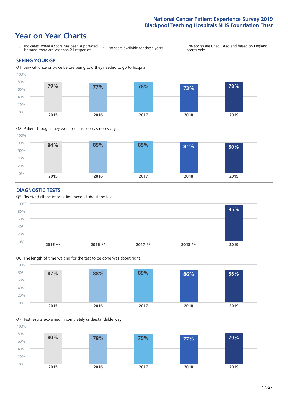### **Year on Year Charts**





#### **DIAGNOSTIC TESTS**





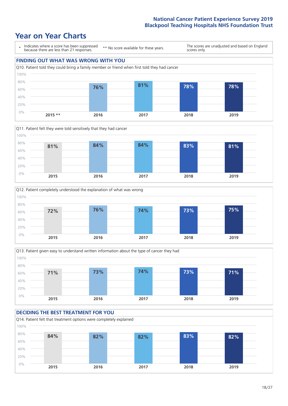### **Year on Year Charts**









#### **DECIDING THE BEST TREATMENT FOR YOU**

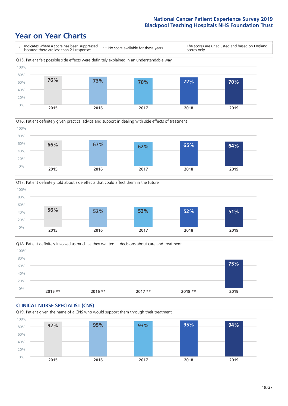





Q18. Patient definitely involved as much as they wanted in decisions about care and treatment  $0%$ 20% 40% 60% 80% 100% **2015 \*\* 2016 \*\* 2017 \*\* 2018 \*\* 2019 75%**

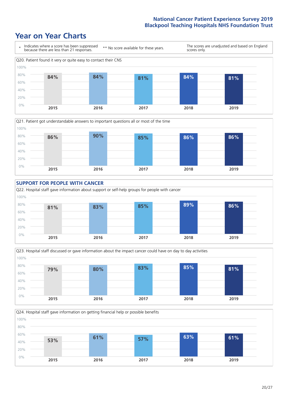









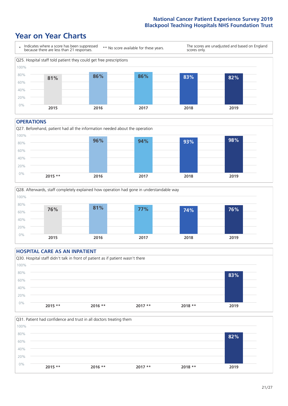### **Year on Year Charts**



#### **OPERATIONS**





#### **HOSPITAL CARE AS AN INPATIENT** Q30. Hospital staff didn't talk in front of patient as if patient wasn't there 0% 20% 40% 60% 80% 100% **2015 \*\* 2016 \*\* 2017 \*\* 2018 \*\* 2019 83%**

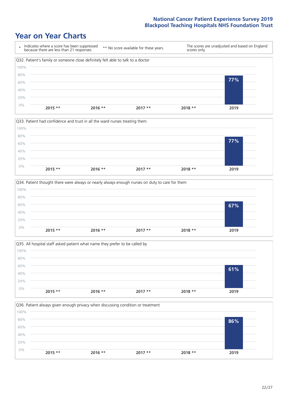







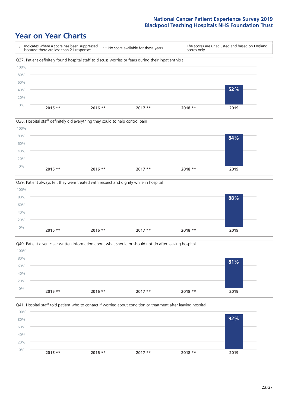







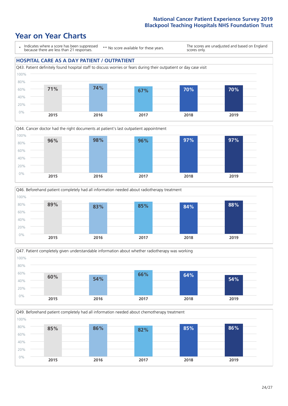







Q49. Beforehand patient completely had all information needed about chemotherapy treatment

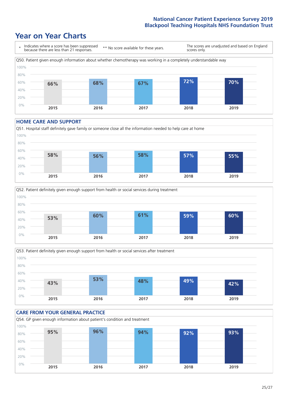### **Year on Year Charts**



#### **HOME CARE AND SUPPORT**







#### **CARE FROM YOUR GENERAL PRACTICE** Q54. GP given enough information about patient's condition and treatment 0% 20% 40% 60% 80% 100% **2015 2016 2017 2018 2019 95% 96% 94% 92% 93%**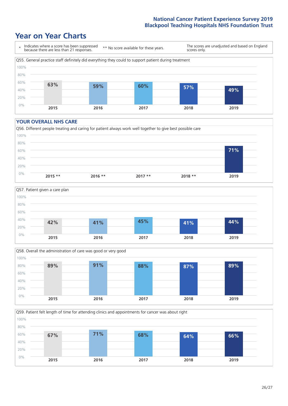### **Year on Year Charts**



#### **YOUR OVERALL NHS CARE**







Q59. Patient felt length of time for attending clinics and appointments for cancer was about right